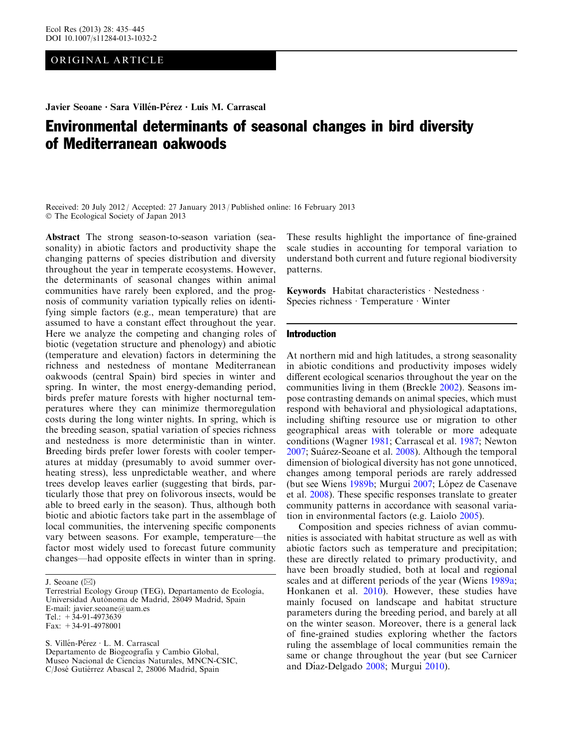# ORIGINAL ARTICLE

Javier Seoane · Sara Villén-Pérez · Luis M. Carrascal

# Environmental determinants of seasonal changes in bird diversity of Mediterranean oakwoods

Received: 20 July 2012 / Accepted: 27 January 2013 / Published online: 16 February 2013 - The Ecological Society of Japan 2013

Abstract The strong season-to-season variation (seasonality) in abiotic factors and productivity shape the changing patterns of species distribution and diversity throughout the year in temperate ecosystems. However, the determinants of seasonal changes within animal communities have rarely been explored, and the prognosis of community variation typically relies on identifying simple factors (e.g., mean temperature) that are assumed to have a constant effect throughout the year. Here we analyze the competing and changing roles of biotic (vegetation structure and phenology) and abiotic (temperature and elevation) factors in determining the richness and nestedness of montane Mediterranean oakwoods (central Spain) bird species in winter and spring. In winter, the most energy-demanding period, birds prefer mature forests with higher nocturnal temperatures where they can minimize thermoregulation costs during the long winter nights. In spring, which is the breeding season, spatial variation of species richness and nestedness is more deterministic than in winter. Breeding birds prefer lower forests with cooler temperatures at midday (presumably to avoid summer overheating stress), less unpredictable weather, and where trees develop leaves earlier (suggesting that birds, particularly those that prey on folivorous insects, would be able to breed early in the season). Thus, although both biotic and abiotic factors take part in the assemblage of local communities, the intervening specific components vary between seasons. For example, temperature—the factor most widely used to forecast future community changes—had opposite effects in winter than in spring.

J. Seoane  $(\boxtimes)$ 

Terrestrial Ecology Group (TEG), Departamento de Ecología, Universidad Autónoma de Madrid, 28049 Madrid, Spain E-mail: javier.seoane@uam.es Tel.:  $+34-91-4973639$ Fax: +34-91-4978001

S. Villén-Pérez · L. M. Carrascal Departamento de Biogeografía y Cambio Global, Museo Nacional de Ciencias Naturales, MNCN-CSIC, C/José Gutiérrez Abascal 2, 28006 Madrid, Spain

These results highlight the importance of fine-grained scale studies in accounting for temporal variation to understand both current and future regional biodiversity patterns.

Keywords Habitat characteristics  $\cdot$  Nestedness  $\cdot$ Species richness · Temperature · Winter

## Introduction

At northern mid and high latitudes, a strong seasonality in abiotic conditions and productivity imposes widely different ecological scenarios throughout the year on the communities living in them (Breckle [2002\)](#page-9-0). Seasons impose contrasting demands on animal species, which must respond with behavioral and physiological adaptations, including shifting resource use or migration to other geographical areas with tolerable or more adequate conditions (Wagner [1981](#page-10-0); Carrascal et al. [1987;](#page-9-0) Newton [2007;](#page-9-0) Suárez-Seoane et al. [2008\)](#page-10-0). Although the temporal dimension of biological diversity has not gone unnoticed, changes among temporal periods are rarely addressed (but see Wiens [1989b;](#page-10-0) Murgui [2007;](#page-9-0) López de Casenave et al. [2008](#page-9-0)). These specific responses translate to greater community patterns in accordance with seasonal variation in environmental factors (e.g. Laiolo [2005\)](#page-9-0).

Composition and species richness of avian communities is associated with habitat structure as well as with abiotic factors such as temperature and precipitation; these are directly related to primary productivity, and have been broadly studied, both at local and regional scales and at different periods of the year (Wiens [1989a](#page-10-0); Honkanen et al. [2010\)](#page-9-0). However, these studies have mainly focused on landscape and habitat structure parameters during the breeding period, and barely at all on the winter season. Moreover, there is a general lack of fine-grained studies exploring whether the factors ruling the assemblage of local communities remain the same or change throughout the year (but see Carnicer and Díaz-Delgado [2008;](#page-9-0) Murgui [2010](#page-9-0)).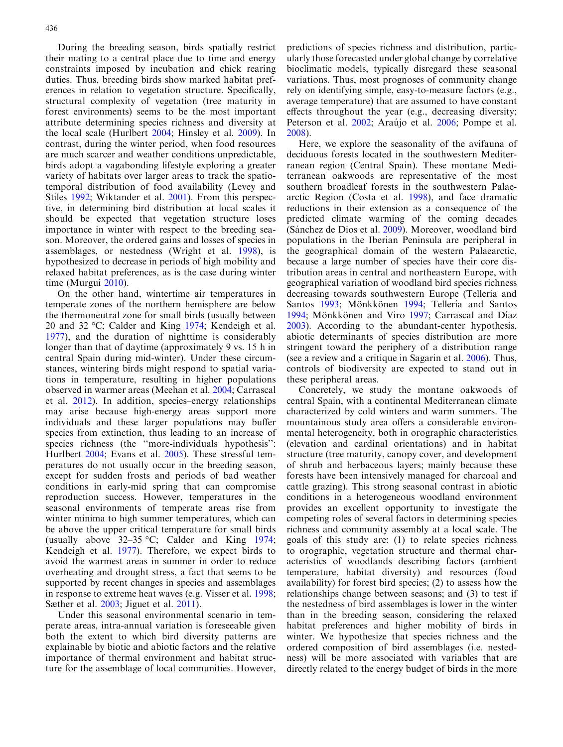During the breeding season, birds spatially restrict their mating to a central place due to time and energy constraints imposed by incubation and chick rearing duties. Thus, breeding birds show marked habitat preferences in relation to vegetation structure. Specifically, structural complexity of vegetation (tree maturity in forest environments) seems to be the most important attribute determining species richness and diversity at the local scale (Hurlbert [2004](#page-9-0); Hinsley et al. [2009](#page-9-0)). In contrast, during the winter period, when food resources are much scarcer and weather conditions unpredictable, birds adopt a vagabonding lifestyle exploring a greater variety of habitats over larger areas to track the spatiotemporal distribution of food availability (Levey and Stiles [1992](#page-9-0); Wiktander et al. [2001](#page-10-0)). From this perspective, in determining bird distribution at local scales it should be expected that vegetation structure loses importance in winter with respect to the breeding season. Moreover, the ordered gains and losses of species in assemblages, or nestedness (Wright et al. [1998](#page-10-0)), is hypothesized to decrease in periods of high mobility and relaxed habitat preferences, as is the case during winter time (Murgui [2010\)](#page-9-0).

On the other hand, wintertime air temperatures in temperate zones of the northern hemisphere are below the thermoneutral zone for small birds (usually between 20 and 32  $\textdegree$ C; Calder and King [1974;](#page-9-0) Kendeigh et al. [1977](#page-9-0)), and the duration of nighttime is considerably longer than that of daytime (approximately 9 vs. 15 h in central Spain during mid-winter). Under these circumstances, wintering birds might respond to spatial variations in temperature, resulting in higher populations observed in warmer areas (Meehan et al. [2004](#page-9-0); Carrascal et al. [2012\)](#page-9-0). In addition, species–energy relationships may arise because high-energy areas support more individuals and these larger populations may buffer species from extinction, thus leading to an increase of species richness (the ''more-individuals hypothesis'': Hurlbert [2004](#page-9-0); Evans et al. [2005](#page-9-0)). These stressful temperatures do not usually occur in the breeding season, except for sudden frosts and periods of bad weather conditions in early-mid spring that can compromise reproduction success. However, temperatures in the seasonal environments of temperate areas rise from winter minima to high summer temperatures, which can be above the upper critical temperature for small birds (usually above  $32-35$  °C; Calder and King [1974](#page-9-0); Kendeigh et al. [1977](#page-9-0)). Therefore, we expect birds to avoid the warmest areas in summer in order to reduce overheating and drought stress, a fact that seems to be supported by recent changes in species and assemblages in response to extreme heat waves (e.g. Visser et al. [1998](#page-10-0); Sæther et al. [2003;](#page-10-0) Jiguet et al. [2011](#page-9-0)).

Under this seasonal environmental scenario in temperate areas, intra-annual variation is foreseeable given both the extent to which bird diversity patterns are explainable by biotic and abiotic factors and the relative importance of thermal environment and habitat structure for the assemblage of local communities. However, predictions of species richness and distribution, particularly those forecasted under global change by correlative bioclimatic models, typically disregard these seasonal variations. Thus, most prognoses of community change rely on identifying simple, easy-to-measure factors (e.g., average temperature) that are assumed to have constant effects throughout the year (e.g., decreasing diversity; Peterson et al. [2002;](#page-10-0) Araújo et al. [2006;](#page-9-0) Pompe et al. [2008\)](#page-10-0).

Here, we explore the seasonality of the avifauna of deciduous forests located in the southwestern Mediterranean region (Central Spain). These montane Mediterranean oakwoods are representative of the most southern broadleaf forests in the southwestern Palaearctic Region (Costa et al. [1998\)](#page-9-0), and face dramatic reductions in their extension as a consequence of the predicted climate warming of the coming decades (Sánchez de Dios et al. [2009\)](#page-10-0). Moreover, woodland bird populations in the Iberian Peninsula are peripheral in the geographical domain of the western Palaearctic, because a large number of species have their core distribution areas in central and northeastern Europe, with geographical variation of woodland bird species richness decreasing towards southwestern Europe (Tellería and Santos [1993;](#page-10-0) Mönkkönen [1994;](#page-9-0) Tellería and Santos [1994;](#page-10-0) Mönkkönen and Viro [1997](#page-9-0); Carrascal and Díaz [2003\)](#page-9-0). According to the abundant-center hypothesis, abiotic determinants of species distribution are more stringent toward the periphery of a distribution range (see a review and a critique in Sagarin et al. [2006\)](#page-10-0). Thus, controls of biodiversity are expected to stand out in these peripheral areas.

Concretely, we study the montane oakwoods of central Spain, with a continental Mediterranean climate characterized by cold winters and warm summers. The mountainous study area offers a considerable environmental heterogeneity, both in orographic characteristics (elevation and cardinal orientations) and in habitat structure (tree maturity, canopy cover, and development of shrub and herbaceous layers; mainly because these forests have been intensively managed for charcoal and cattle grazing). This strong seasonal contrast in abiotic conditions in a heterogeneous woodland environment provides an excellent opportunity to investigate the competing roles of several factors in determining species richness and community assembly at a local scale. The goals of this study are: (1) to relate species richness to orographic, vegetation structure and thermal characteristics of woodlands describing factors (ambient temperature, habitat diversity) and resources (food availability) for forest bird species; (2) to assess how the relationships change between seasons; and (3) to test if the nestedness of bird assemblages is lower in the winter than in the breeding season, considering the relaxed habitat preferences and higher mobility of birds in winter. We hypothesize that species richness and the ordered composition of bird assemblages (i.e. nestedness) will be more associated with variables that are directly related to the energy budget of birds in the more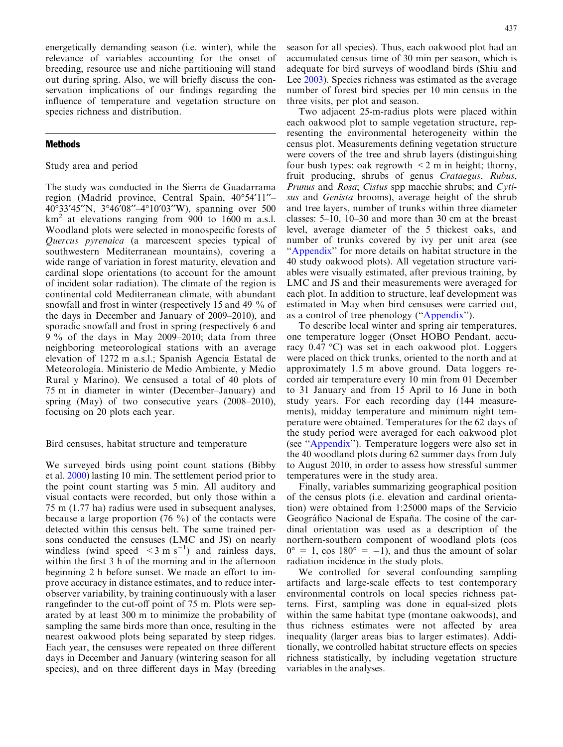energetically demanding season (i.e. winter), while the relevance of variables accounting for the onset of breeding, resource use and niche partitioning will stand out during spring. Also, we will briefly discuss the conservation implications of our findings regarding the influence of temperature and vegetation structure on species richness and distribution.

## Methods

#### Study area and period

The study was conducted in the Sierra de Guadarrama region (Madrid province, Central Spain,  $40^{\circ}54'11''$ – 40°33′45″N, 3°46′08″–4°10′03″W), spanning over 500  $km<sup>2</sup>$  at elevations ranging from 900 to 1600 m a.s.l. Woodland plots were selected in monospecific forests of Quercus pyrenaica (a marcescent species typical of southwestern Mediterranean mountains), covering a wide range of variation in forest maturity, elevation and cardinal slope orientations (to account for the amount of incident solar radiation). The climate of the region is continental cold Mediterranean climate, with abundant snowfall and frost in winter (respectively 15 and 49 % of the days in December and January of 2009–2010), and sporadic snowfall and frost in spring (respectively 6 and 9 % of the days in May 2009–2010; data from three neighboring meteorological stations with an average elevation of 1272 m a.s.l.; Spanish Agencia Estatal de Meteorología. Ministerio de Medio Ambiente, y Medio Rural y Marino). We censused a total of 40 plots of 75 m in diameter in winter (December–January) and spring (May) of two consecutive years (2008–2010), focusing on 20 plots each year.

Bird censuses, habitat structure and temperature

We surveyed birds using point count stations (Bibby et al. [2000](#page-9-0)) lasting 10 min. The settlement period prior to the point count starting was 5 min. All auditory and visual contacts were recorded, but only those within a 75 m (1.77 ha) radius were used in subsequent analyses, because a large proportion  $(76 \%)$  of the contacts were detected within this census belt. The same trained persons conducted the censuses (LMC and JS) on nearly windless (wind speed  $\leq 3 \text{ m s}^{-1}$ ) and rainless days, within the first 3 h of the morning and in the afternoon beginning 2 h before sunset. We made an effort to improve accuracy in distance estimates, and to reduce interobserver variability, by training continuously with a laser rangefinder to the cut-off point of 75 m. Plots were separated by at least 300 m to minimize the probability of sampling the same birds more than once, resulting in the nearest oakwood plots being separated by steep ridges. Each year, the censuses were repeated on three different days in December and January (wintering season for all species), and on three different days in May (breeding

season for all species). Thus, each oakwood plot had an accumulated census time of 30 min per season, which is adequate for bird surveys of woodland birds (Shiu and Lee [2003](#page-10-0)). Species richness was estimated as the average number of forest bird species per 10 min census in the three visits, per plot and season.

Two adjacent 25-m-radius plots were placed within each oakwood plot to sample vegetation structure, representing the environmental heterogeneity within the census plot. Measurements defining vegetation structure were covers of the tree and shrub layers (distinguishing four bush types: oak regrowth  $\leq 2$  m in height; thorny, fruit producing, shrubs of genus Crataegus, Rubus, Prunus and Rosa; Cistus spp macchie shrubs; and Cytisus and Genista brooms), average height of the shrub and tree layers, number of trunks within three diameter classes: 5–10, 10–30 and more than 30 cm at the breast level, average diameter of the 5 thickest oaks, and number of trunks covered by ivy per unit area (see "[Appendix](#page-8-0)" for more details on habitat structure in the 40 study oakwood plots). All vegetation structure variables were visually estimated, after previous training, by LMC and JS and their measurements were averaged for each plot. In addition to structure, leaf development was estimated in May when bird censuses were carried out, as a control of tree phenology ('['Appendix'](#page-8-0)').

To describe local winter and spring air temperatures, one temperature logger (Onset HOBO Pendant, accuracy  $0.47 \text{ °C}$  was set in each oakwood plot. Loggers were placed on thick trunks, oriented to the north and at approximately 1.5 m above ground. Data loggers recorded air temperature every 10 min from 01 December to 31 January and from 15 April to 16 June in both study years. For each recording day (144 measurements), midday temperature and minimum night temperature were obtained. Temperatures for the 62 days of the study period were averaged for each oakwood plot (see '['Appendix'](#page-8-0)'). Temperature loggers were also set in the 40 woodland plots during 62 summer days from July to August 2010, in order to assess how stressful summer temperatures were in the study area.

Finally, variables summarizing geographical position of the census plots (i.e. elevation and cardinal orientation) were obtained from 1:25000 maps of the Servicio Geográfico Nacional de España. The cosine of the cardinal orientation was used as a description of the northern-southern component of woodland plots (cos  $0^{\circ} = 1$ , cos 180° = -1), and thus the amount of solar radiation incidence in the study plots.

We controlled for several confounding sampling artifacts and large-scale effects to test contemporary environmental controls on local species richness patterns. First, sampling was done in equal-sized plots within the same habitat type (montane oakwoods), and thus richness estimates were not affected by area inequality (larger areas bias to larger estimates). Additionally, we controlled habitat structure effects on species richness statistically, by including vegetation structure variables in the analyses.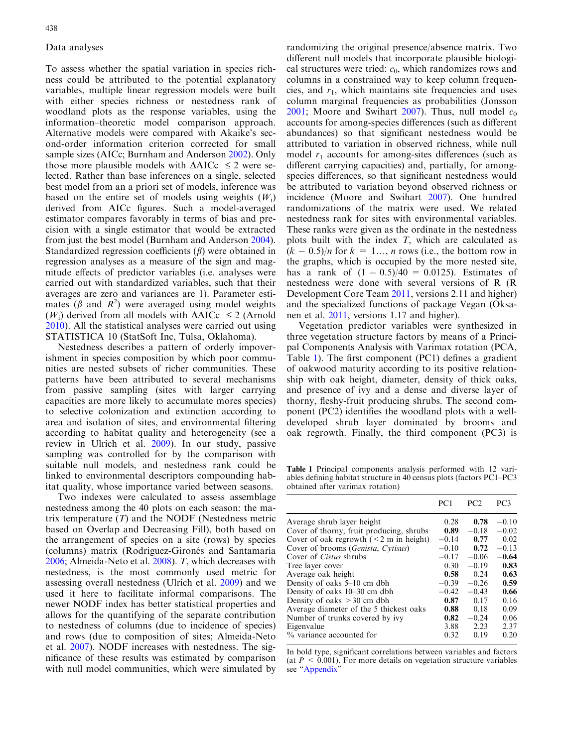#### <span id="page-3-0"></span>Data analyses

To assess whether the spatial variation in species richness could be attributed to the potential explanatory variables, multiple linear regression models were built with either species richness or nestedness rank of woodland plots as the response variables, using the information–theoretic model comparison approach. Alternative models were compared with Akaike's second-order information criterion corrected for small sample sizes (AICc; Burnham and Anderson [2002](#page-9-0)). Only those more plausible models with  $\triangle AICc \leq 2$  were selected. Rather than base inferences on a single, selected best model from an a priori set of models, inference was based on the entire set of models using weights  $(W_i)$ derived from AICc figures. Such a model-averaged estimator compares favorably in terms of bias and precision with a single estimator that would be extracted from just the best model (Burnham and Anderson [2004\)](#page-9-0). Standardized regression coefficients  $(\beta)$  were obtained in regression analyses as a measure of the sign and magnitude effects of predictor variables (i.e. analyses were carried out with standardized variables, such that their averages are zero and variances are 1). Parameter estimates ( $\beta$  and  $R^2$ ) were averaged using model weights  $(W_i)$  derived from all models with  $\triangle AICc \leq 2$  (Arnold [2010](#page-9-0)). All the statistical analyses were carried out using STATISTICA 10 (StatSoft Inc, Tulsa, Oklahoma).

Nestedness describes a pattern of orderly impoverishment in species composition by which poor communities are nested subsets of richer communities. These patterns have been attributed to several mechanisms from passive sampling (sites with larger carrying capacities are more likely to accumulate mores species) to selective colonization and extinction according to area and isolation of sites, and environmental filtering according to habitat quality and heterogeneity (see a review in Ulrich et al. [2009\)](#page-10-0). In our study, passive sampling was controlled for by the comparison with suitable null models, and nestedness rank could be linked to environmental descriptors compounding habitat quality, whose importance varied between seasons.

Two indexes were calculated to assess assemblage nestedness among the 40 plots on each season: the matrix temperature  $(T)$  and the NODF (Nestedness metric based on Overlap and Decreasing Fill), both based on the arrangement of species on a site (rows) by species (columns) matrix (Rodríguez-Gironés and Santamaría [2006](#page-10-0); Almeida-Neto et al. [2008\)](#page-9-0). T, which decreases with nestedness, is the most commonly used metric for assessing overall nestedness (Ulrich et al. [2009](#page-10-0)) and we used it here to facilitate informal comparisons. The newer NODF index has better statistical properties and allows for the quantifying of the separate contribution to nestedness of columns (due to incidence of species) and rows (due to composition of sites; Almeida-Neto et al. [2007](#page-9-0)). NODF increases with nestedness. The significance of these results was estimated by comparison with null model communities, which were simulated by

randomizing the original presence/absence matrix. Two different null models that incorporate plausible biological structures were tried:  $c_0$ , which randomizes rows and columns in a constrained way to keep column frequencies, and  $r_1$ , which maintains site frequencies and uses column marginal frequencies as probabilities (Jonsson [2001;](#page-9-0) Moore and Swihart [2007](#page-9-0)). Thus, null model  $c_0$ accounts for among-species differences (such as different abundances) so that significant nestedness would be attributed to variation in observed richness, while null model  $r_1$  accounts for among-sites differences (such as different carrying capacities) and, partially, for amongspecies differences, so that significant nestedness would be attributed to variation beyond observed richness or incidence (Moore and Swihart [2007](#page-9-0)). One hundred randomizations of the matrix were used. We related nestedness rank for sites with environmental variables. These ranks were given as the ordinate in the nestedness plots built with the index  $T$ , which are calculated as  $(k - 0.5)/n$  for  $k = 1...$ , *n* rows (i.e., the bottom row in the graphs, which is occupied by the more nested site, has a rank of  $(1 - 0.5)/40 = 0.0125$ . Estimates of nestedness were done with several versions of R (R Development Core Team [2011,](#page-10-0) versions 2.11 and higher) and the specialized functions of package Vegan (Oksanen et al. [2011,](#page-9-0) versions 1.17 and higher).

Vegetation predictor variables were synthesized in three vegetation structure factors by means of a Principal Components Analysis with Varimax rotation (PCA, Table 1). The first component (PC1) defines a gradient of oakwood maturity according to its positive relationship with oak height, diameter, density of thick oaks, and presence of ivy and a dense and diverse layer of thorny, fleshy-fruit producing shrubs. The second component (PC2) identifies the woodland plots with a welldeveloped shrub layer dominated by brooms and oak regrowth. Finally, the third component (PC3) is

Table 1 Principal components analysis performed with 12 variables defining habitat structure in 40 census plots (factors PC1–PC3 obtained after varimax rotation)

|                                             | PC <sub>1</sub> | PC <sub>2</sub> | PC3     |
|---------------------------------------------|-----------------|-----------------|---------|
| Average shrub layer height                  | 0.28            | 0.78            | $-0.10$ |
| Cover of thorny, fruit producing, shrubs    | 0.89            | $-0.18$         | $-0.02$ |
| Cover of oak regrowth $(< 2$ m in height)   | $-0.14$         | 0.77            | 0.02    |
| Cover of brooms ( <i>Genista, Cytisus</i> ) | $-0.10$         | 0.72            | $-0.13$ |
| Cover of <i>Cistus</i> shrubs               | $-0.17$         | $-0.06$         | $-0.64$ |
| Tree layer cover                            | 0.30            | $-0.19$         | 0.83    |
| Average oak height                          | 0.58            | 0.24            | 0.63    |
| Density of oaks 5-10 cm dbh                 | $-0.39$         | $-0.26$         | 0.59    |
| Density of oaks $10-30$ cm dbh              | $-0.42$         | $-0.43$         | 0.66    |
| Density of oaks $> 30$ cm dbh               | 0.87            | 0.17            | 0.16    |
| Average diameter of the 5 thickest oaks     | 0.88            | 0.18            | 0.09    |
| Number of trunks covered by ivy             | 0.82            | $-0.24$         | 0.06    |
| Eigenvalue                                  | 3.88            | 2.23            | 2.37    |
| % variance accounted for                    | 0.32            | 0.19            | 0.20    |
|                                             |                 |                 |         |

In bold type, significant correlations between variables and factors (at  $P < 0.001$ ). For more details on vegetation structure variables see ''[Appendix](#page-8-0)''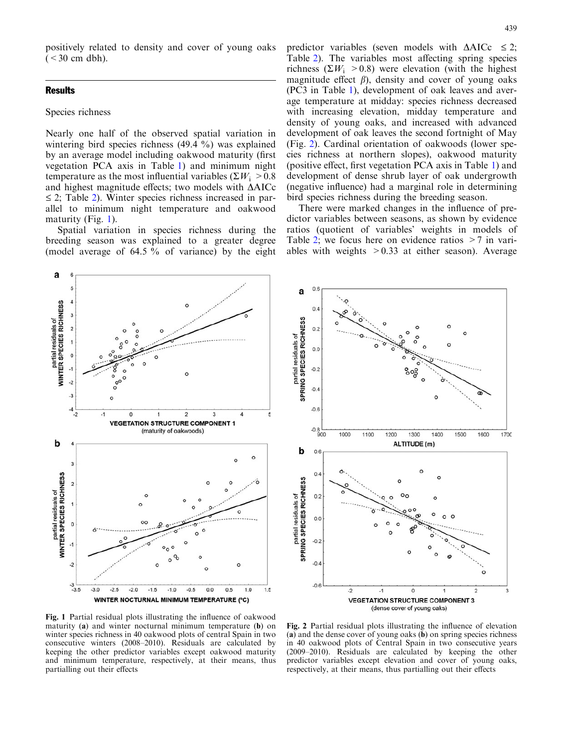positively related to density and cover of young oaks  $(< 30$  cm dbh).

### **Results**

a

partial residuals of<br>WINTER SPECIES RICHNESS

b

*NINTER SPECIES RICHNESS* 

partial residuals of

 $\ddot{\rm s}$ 

 $\overline{a}$ 

à

 $\overline{0}$ 

J.

 $\ddot{\sim}$ 

 $-4$  $-2$ 

3

 $\overline{a}$ 

 $\overline{1}$ 

 $\epsilon$ 

 $\overline{2}$ 

 $-3 -$ <br> $-3.5$ 

 $-3.0$  $-2.5$   $\sim$ 

 $\circ$ 

 $\circ$ 

 $-2.0$ 

 $-1.5$ 

 $\circ$ 

 $\epsilon$ 

 $-1$ 

# Species richness

Nearly one half of the observed spatial variation in wintering bird species richness (49.4 %) was explained by an average model including oakwood maturity (first vegetation PCA axis in Table [1\)](#page-3-0) and minimum night temperature as the most influential variables ( $\Sigma W_i > 0.8$ and highest magnitude effects; two models with  $\triangle AICc$  $\leq$  [2](#page-5-0); Table 2). Winter species richness increased in parallel to minimum night temperature and oakwood maturity (Fig. 1).

Spatial variation in species richness during the breeding season was explained to a greater degree (model average of 64.5 % of variance) by the eight

 $\circ$ 

 $\overline{2}$ 

 $\circ$ 

**VEGETATION STRUCTURE COMPONENT 1** 

(maturity of oakwoods)

predictor variables (seven models with  $\triangle AICc \leq 2$ ; Table [2](#page-5-0)). The variables most affecting spring species richness ( $\Sigma W_i > 0.8$ ) were elevation (with the highest magnitude effect  $\beta$ ), density and cover of young oaks (PC3 in Table [1](#page-3-0)), development of oak leaves and average temperature at midday: species richness decreased with increasing elevation, midday temperature and density of young oaks, and increased with advanced development of oak leaves the second fortnight of May (Fig. 2). Cardinal orientation of oakwoods (lower species richness at northern slopes), oakwood maturity (positive effect, first vegetation PCA axis in Table [1\)](#page-3-0) and development of dense shrub layer of oak undergrowth (negative influence) had a marginal role in determining bird species richness during the breeding season.

There were marked changes in the influence of predictor variables between seasons, as shown by evidence ratios (quotient of variables' weights in models of Table [2](#page-5-0); we focus here on evidence ratios  $>7$  in variables with weights  $>0.33$  at either season). Average



 $-1.0$ 

WINTER NOCTURNAL MINIMUM TEMPERATURE (°C)

 $-0.5$ 

 $0.0$ 

 $0.5$ 

 $1.0$ 

 $1.5$ 

Fig. 2 Partial residual plots illustrating the influence of elevation (a) and the dense cover of young oaks (b) on spring species richness in 40 oakwood plots of Central Spain in two consecutive years (2009–2010). Residuals are calculated by keeping the other predictor variables except elevation and cover of young oaks, respectively, at their means, thus partialling out their effects

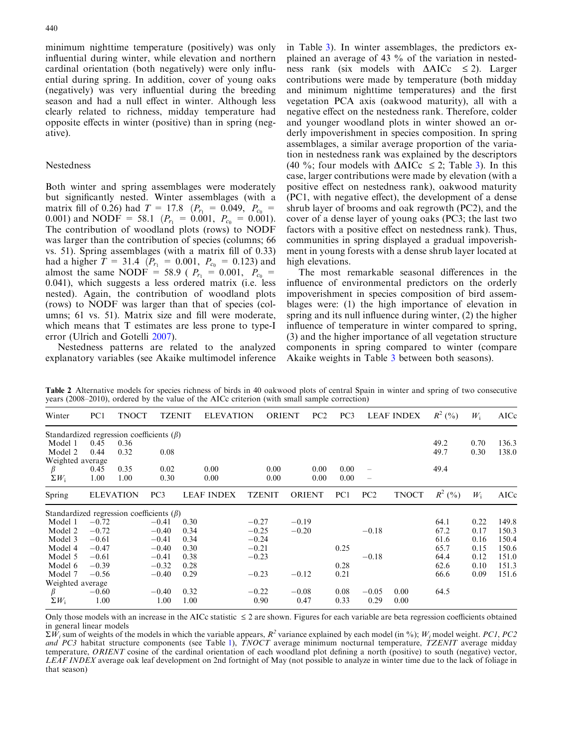<span id="page-5-0"></span>minimum nighttime temperature (positively) was only influential during winter, while elevation and northern cardinal orientation (both negatively) were only influential during spring. In addition, cover of young oaks (negatively) was very influential during the breeding season and had a null effect in winter. Although less clearly related to richness, midday temperature had opposite effects in winter (positive) than in spring (negative).

### Nestedness

Both winter and spring assemblages were moderately but significantly nested. Winter assemblages (with a matrix fill of 0.26) had  $T = 17.8$   $(P_{r_1} = 0.049, P_{c_0} =$ 0.001) and NODF = 58.1  $(P_{r_1} = 0.001, P_{c_0} = 0.001)$ . The contribution of woodland plots (rows) to NODF was larger than the contribution of species (columns; 66 vs. 51). Spring assemblages (with a matrix fill of 0.33) had a higher  $T = 31.4$   $(P_{r_1} = 0.001, P_{c_0} = 0.123)$  and almost the same NODF = 58.9 ( $P_{r_1} = 0.001$ ,  $P_{c_0} =$ 0.041), which suggests a less ordered matrix (i.e. less nested). Again, the contribution of woodland plots (rows) to NODF was larger than that of species (columns; 61 vs. 51). Matrix size and fill were moderate, which means that T estimates are less prone to type-I error (Ulrich and Gotelli [2007](#page-10-0)).

Nestedness patterns are related to the analyzed explanatory variables (see Akaike multimodel inference in Table [3\)](#page-6-0). In winter assemblages, the predictors explained an average of 43 % of the variation in nestedness rank (six models with  $\triangle AICc \leq 2$ ). Larger contributions were made by temperature (both midday and minimum nighttime temperatures) and the first vegetation PCA axis (oakwood maturity), all with a negative effect on the nestedness rank. Therefore, colder and younger woodland plots in winter showed an orderly impoverishment in species composition. In spring assemblages, a similar average proportion of the variation in nestedness rank was explained by the descriptors (40 %; four models with  $\triangle AICc \leq 2$ ; Table [3](#page-6-0)). In this case, larger contributions were made by elevation (with a positive effect on nestedness rank), oakwood maturity (PC1, with negative effect), the development of a dense shrub layer of brooms and oak regrowth (PC2), and the cover of a dense layer of young oaks (PC3; the last two factors with a positive effect on nestedness rank). Thus, communities in spring displayed a gradual impoverishment in young forests with a dense shrub layer located at high elevations.

The most remarkable seasonal differences in the influence of environmental predictors on the orderly impoverishment in species composition of bird assemblages were: (1) the high importance of elevation in spring and its null influence during winter, (2) the higher influence of temperature in winter compared to spring, (3) and the higher importance of all vegetation structure components in spring compared to winter (compare Akaike weights in Table [3](#page-6-0) between both seasons).

| Winter                                         | PC1     | <b>TNOCT</b>     | <b>TZENIT</b>   | <b>ELEVATION</b>  | <b>ORIENT</b> | PC <sub>2</sub> | PC <sub>3</sub> |         | <b>LEAF INDEX</b> | $R^2$ (%) | $W_i$ | AICc  |
|------------------------------------------------|---------|------------------|-----------------|-------------------|---------------|-----------------|-----------------|---------|-------------------|-----------|-------|-------|
| Standardized regression coefficients $(\beta)$ |         |                  |                 |                   |               |                 |                 |         |                   |           |       |       |
| Model 1                                        | 0.45    | 0.36             |                 |                   |               |                 |                 |         |                   | 49.2      | 0.70  | 136.3 |
| Model 2                                        | 0.44    | 0.32             | 0.08            |                   |               |                 |                 |         |                   | 49.7      | 0.30  | 138.0 |
| Weighted average                               |         |                  |                 |                   |               |                 |                 |         |                   |           |       |       |
| β                                              | 0.45    | 0.35             | 0.02            | 0.00              | 0.00          | 0.00            | 0.00            |         |                   | 49.4      |       |       |
| $\Sigma W_i$                                   | 1.00    | 1.00             | 0.30            | 0.00              | 0.00          | 0.00            | 0.00            |         |                   |           |       |       |
| Spring                                         |         | <b>ELEVATION</b> | PC <sub>3</sub> | <b>LEAF INDEX</b> | <b>TZENIT</b> | <b>ORIENT</b>   | PC1             | PC2     | <b>TNOCT</b>      | $R^2$ (%) | $W_i$ | AICc  |
| Standardized regression coefficients $(\beta)$ |         |                  |                 |                   |               |                 |                 |         |                   |           |       |       |
| Model 1                                        | $-0.72$ |                  | $-0.41$         | 0.30              | $-0.27$       | $-0.19$         |                 |         |                   | 64.1      | 0.22  | 149.8 |
| Model 2                                        | $-0.72$ |                  | $-0.40$         | 0.34              | $-0.25$       | $-0.20$         |                 | $-0.18$ |                   | 67.2      | 0.17  | 150.3 |
| Model 3                                        | $-0.61$ |                  | $-0.41$         | 0.34              | $-0.24$       |                 |                 |         |                   | 61.6      | 0.16  | 150.4 |
| Model 4                                        | $-0.47$ |                  | $-0.40$         | 0.30              | $-0.21$       |                 | 0.25            |         |                   | 65.7      | 0.15  | 150.6 |
| Model 5                                        | $-0.61$ |                  | $-0.41$         | 0.38              | $-0.23$       |                 |                 | $-0.18$ |                   | 64.4      | 0.12  | 151.0 |
| Model 6                                        | $-0.39$ |                  | $-0.32$         | 0.28              |               |                 | 0.28            |         |                   | 62.6      | 0.10  | 151.3 |
| Model 7                                        | $-0.56$ |                  | $-0.40$         | 0.29              | $-0.23$       | $-0.12$         | 0.21            |         |                   | 66.6      | 0.09  | 151.6 |
| Weighted average                               |         |                  |                 |                   |               |                 |                 |         |                   |           |       |       |
| β                                              | $-0.60$ |                  | $-0.40$         | 0.32              | $-0.22$       | $-0.08$         | 0.08            | $-0.05$ | 0.00              | 64.5      |       |       |
| $\Sigma W_i$                                   | 1.00    |                  | 1.00            | 1.00              | 0.90          | 0.47            | 0.33            | 0.29    | 0.00              |           |       |       |

Table 2 Alternative models for species richness of birds in 40 oakwood plots of central Spain in winter and spring of two consecutive years (2008–2010), ordered by the value of the AICc criterion (with small sample correction)

Only those models with an increase in the AICc statistic  $\leq 2$  are shown. Figures for each variable are beta regression coefficients obtained in general linear models

 $\Sigma W_i$  sum of weights of the models in which the variable appears,  $R^2$  variance explained by each model (in %);  $W_i$  model weight. PC1, PC2 and PC3 habitat structure components (see Table [1\)](#page-3-0), TNOCT average minimum nocturnal temperature, TZENIT average midday temperature, ORIENT cosine of the cardinal orientation of each woodland plot defining a north (positive) to south (negative) vector, LEAF INDEX average oak leaf development on 2nd fortnight of May (not possible to analyze in winter time due to the lack of foliage in that season)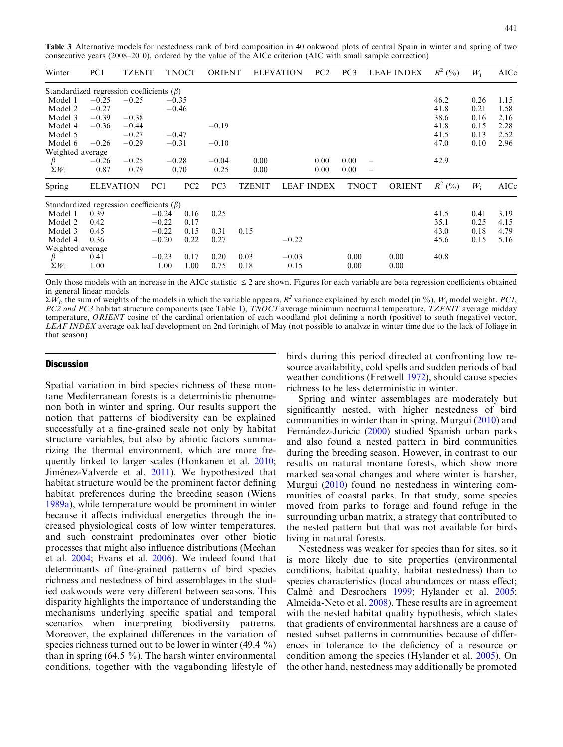<span id="page-6-0"></span>

|  |  | Table 3 Alternative models for nestedness rank of bird composition in 40 oakwood plots of central Spain in winter and spring of two |  |  |  |  |  |
|--|--|-------------------------------------------------------------------------------------------------------------------------------------|--|--|--|--|--|
|  |  | consecutive years (2008–2010), ordered by the value of the AICc criterion (AIC with small sample correction)                        |  |  |  |  |  |

| Winter                                         | PC1              | TZENIT  |                 | <b>TNOCT</b>    | <b>ORIENT</b>   |        | <b>ELEVATION</b> | PC <sub>2</sub>   | PC <sub>3</sub> | <b>LEAF INDEX</b> | $R^2$ (%) | $W_i$ | AICc |
|------------------------------------------------|------------------|---------|-----------------|-----------------|-----------------|--------|------------------|-------------------|-----------------|-------------------|-----------|-------|------|
| Standardized regression coefficients $(\beta)$ |                  |         |                 |                 |                 |        |                  |                   |                 |                   |           |       |      |
| Model 1                                        | $-0.25$          | $-0.25$ | $-0.35$         |                 |                 |        |                  |                   |                 |                   | 46.2      | 0.26  | 1.15 |
| Model 2                                        | $-0.27$          |         |                 | $-0.46$         |                 |        |                  |                   |                 |                   | 41.8      | 0.21  | 1.58 |
| Model 3                                        | $-0.39$          | $-0.38$ |                 |                 |                 |        |                  |                   |                 |                   | 38.6      | 0.16  | 2.16 |
| Model 4                                        | $-0.36$          | $-0.44$ |                 |                 | $-0.19$         |        |                  |                   |                 |                   | 41.8      | 0.15  | 2.28 |
| Model 5                                        |                  | $-0.27$ | $-0.47$         |                 |                 |        |                  |                   |                 |                   | 41.5      | 0.13  | 2.52 |
| Model 6                                        | $-0.26$          | $-0.29$ | $-0.31$         |                 | $-0.10$         |        |                  |                   |                 |                   | 47.0      | 0.10  | 2.96 |
| Weighted average                               |                  |         |                 |                 |                 |        |                  |                   |                 |                   |           |       |      |
| β                                              | $-0.26$          | $-0.25$ |                 | $-0.28$         | $-0.04$         | 0.00   |                  | 0.00              | 0.00            |                   | 42.9      |       |      |
| $\Sigma W_i$                                   | 0.87             | 0.79    |                 | 0.70            | 0.25            | 0.00   |                  | 0.00              | 0.00            |                   |           |       |      |
| Spring                                         | <b>ELEVATION</b> |         | PC <sub>1</sub> | PC <sub>2</sub> | PC <sub>3</sub> | TZENIT |                  | <b>LEAF INDEX</b> | <b>TNOCT</b>    | <b>ORIENT</b>     | $R^2$ (%) | $W_i$ | AICc |
| Standardized regression coefficients $(\beta)$ |                  |         |                 |                 |                 |        |                  |                   |                 |                   |           |       |      |
| Model 1                                        | 0.39             |         | $-0.24$         | 0.16            | 0.25            |        |                  |                   |                 |                   | 41.5      | 0.41  | 3.19 |
| Model 2                                        | 0.42             |         | $-0.22$         | 0.17            |                 |        |                  |                   |                 |                   | 35.1      | 0.25  | 4.15 |
| Model 3                                        | 0.45             |         | $-0.22$         | 0.15            | 0.31            | 0.15   |                  |                   |                 |                   | 43.0      | 0.18  | 4.79 |
| Model 4                                        | 0.36             |         | $-0.20$         | 0.22            | 0.27            |        | $-0.22$          |                   |                 |                   | 45.6      | 0.15  | 5.16 |
| Weighted average                               |                  |         |                 |                 |                 |        |                  |                   |                 |                   |           |       |      |
| β                                              | 0.41             |         | $-0.23$         | 0.17            | 0.20            | 0.03   | $-0.03$          |                   | 0.00            | 0.00              | 40.8      |       |      |
| $\Sigma W_i$                                   | 1.00             |         | 1.00            | 1.00            | 0.75            | 0.18   | 0.15             |                   | 0.00            | 0.00              |           |       |      |

Only those models with an increase in the AICc statistic  $\leq 2$  are shown. Figures for each variable are beta regression coefficients obtained in general linear models

 $\Sigma \tilde{W}_i$ , the sum of weights of the models in which the variable appears,  $R^2$  variance explained by each model (in %),  $W_i$  model weight. PC1, PC2 and PC3 habitat structure components (see Table [1](#page-3-0)), TNOCT average minimum nocturnal temperature, TZENIT average midday temperature, ORIENT cosine of the cardinal orientation of each woodland plot defining a north (positive) to south (negative) vector, LEAF INDEX average oak leaf development on 2nd fortnight of May (not possible to analyze in winter time due to the lack of foliage in that season)

#### **Discussion**

Spatial variation in bird species richness of these montane Mediterranean forests is a deterministic phenomenon both in winter and spring. Our results support the notion that patterns of biodiversity can be explained successfully at a fine-grained scale not only by habitat structure variables, but also by abiotic factors summarizing the thermal environment, which are more frequently linked to larger scales (Honkanen et al. [2010](#page-9-0); Jiménez-Valverde et al. [2011](#page-9-0)). We hypothesized that habitat structure would be the prominent factor defining habitat preferences during the breeding season (Wiens [1989a\)](#page-10-0), while temperature would be prominent in winter because it affects individual energetics through the increased physiological costs of low winter temperatures, and such constraint predominates over other biotic processes that might also influence distributions (Meehan et al. [2004;](#page-9-0) Evans et al. [2006\)](#page-9-0). We indeed found that determinants of fine-grained patterns of bird species richness and nestedness of bird assemblages in the studied oakwoods were very different between seasons. This disparity highlights the importance of understanding the mechanisms underlying specific spatial and temporal scenarios when interpreting biodiversity patterns. Moreover, the explained differences in the variation of species richness turned out to be lower in winter  $(49.4 \%)$ than in spring  $(64.5 \%)$ . The harsh winter environmental conditions, together with the vagabonding lifestyle of

birds during this period directed at confronting low resource availability, cold spells and sudden periods of bad weather conditions (Fretwell [1972\)](#page-9-0), should cause species richness to be less deterministic in winter.

Spring and winter assemblages are moderately but significantly nested, with higher nestedness of bird communities in winter than in spring. Murgui ([2010](#page-9-0)) and Fernández-Juricic [\(2000](#page-9-0)) studied Spanish urban parks and also found a nested pattern in bird communities during the breeding season. However, in contrast to our results on natural montane forests, which show more marked seasonal changes and where winter is harsher, Murgui [\(2010](#page-9-0)) found no nestedness in wintering communities of coastal parks. In that study, some species moved from parks to forage and found refuge in the surrounding urban matrix, a strategy that contributed to the nested pattern but that was not available for birds living in natural forests.

Nestedness was weaker for species than for sites, so it is more likely due to site properties (environmental conditions, habitat quality, habitat nestedness) than to species characteristics (local abundances or mass effect; Calmé and Desrochers [1999;](#page-9-0) Hylander et al. [2005](#page-9-0); Almeida-Neto et al. [2008\)](#page-9-0). These results are in agreement with the nested habitat quality hypothesis, which states that gradients of environmental harshness are a cause of nested subset patterns in communities because of differences in tolerance to the deficiency of a resource or condition among the species (Hylander et al. [2005](#page-9-0)). On the other hand, nestedness may additionally be promoted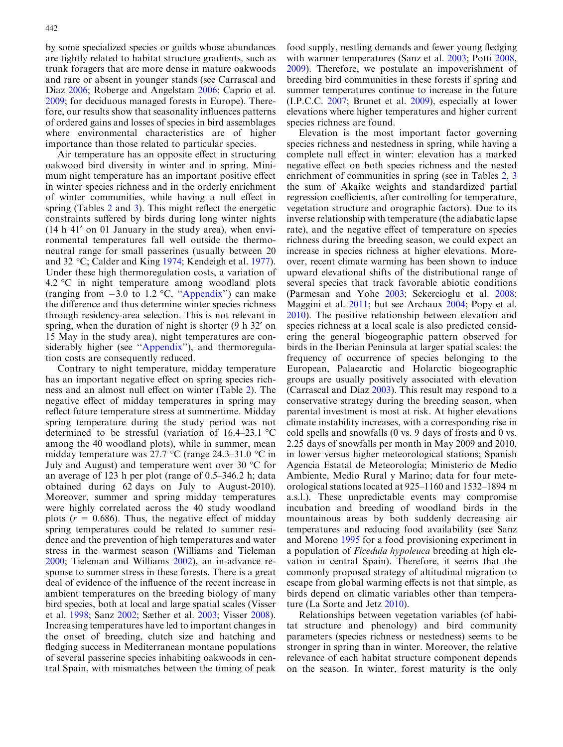by some specialized species or guilds whose abundances are tightly related to habitat structure gradients, such as trunk foragers that are more dense in mature oakwoods and rare or absent in younger stands (see Carrascal and Díaz [2006;](#page-10-0) Roberge and Angelstam 2006; Caprio et al. [2009](#page-9-0); for deciduous managed forests in Europe). Therefore, our results show that seasonality influences patterns of ordered gains and losses of species in bird assemblages where environmental characteristics are of higher importance than those related to particular species.

Air temperature has an opposite effect in structuring oakwood bird diversity in winter and in spring. Minimum night temperature has an important positive effect in winter species richness and in the orderly enrichment of winter communities, while having a null effect in spring (Tables [2](#page-5-0) and [3\)](#page-6-0). This might reflect the energetic constraints suffered by birds during long winter nights  $(14 h 41'$  on 01 January in the study area), when environmental temperatures fall well outside the thermoneutral range for small passerines (usually between 20 and 32 °C; Calder and King [1974](#page-9-0); Kendeigh et al. [1977\)](#page-9-0). Under these high thermoregulation costs, a variation of 4.2  $\degree$ C in night temperature among woodland plots (ranging from  $-3.0$  to 1.2 °C, "Appendix") can make the difference and thus determine winter species richness through residency-area selection. This is not relevant in spring, when the duration of night is shorter  $(9 h 32'$  on 15 May in the study area), night temperatures are con-siderably higher (see "[Appendix](#page-8-0)"), and thermoregulation costs are consequently reduced.

Contrary to night temperature, midday temperature has an important negative effect on spring species richness and an almost null effect on winter (Table [2](#page-5-0)). The negative effect of midday temperatures in spring may reflect future temperature stress at summertime. Midday spring temperature during the study period was not determined to be stressful (variation of  $16.4-23.1$  °C among the 40 woodland plots), while in summer, mean midday temperature was  $27.7 \text{ °C}$  (range  $24.3-31.0 \text{ °C}$  in July and August) and temperature went over 30  $\degree$ C for an average of 123 h per plot (range of 0.5–346.2 h; data obtained during 62 days on July to August-2010). Moreover, summer and spring midday temperatures were highly correlated across the 40 study woodland plots ( $r = 0.686$ ). Thus, the negative effect of midday spring temperatures could be related to summer residence and the prevention of high temperatures and water stress in the warmest season (Williams and Tieleman [2000](#page-10-0); Tieleman and Williams [2002\)](#page-10-0), an in-advance response to summer stress in these forests. There is a great deal of evidence of the influence of the recent increase in ambient temperatures on the breeding biology of many bird species, both at local and large spatial scales (Visser et al. [1998;](#page-10-0) Sanz [2002;](#page-10-0) Sæther et al. [2003;](#page-10-0) Visser [2008\)](#page-10-0). Increasing temperatures have led to important changes in the onset of breeding, clutch size and hatching and fledging success in Mediterranean montane populations of several passerine species inhabiting oakwoods in central Spain, with mismatches between the timing of peak

food supply, nestling demands and fewer young fledging with warmer temperatures (Sanz et al. [2003;](#page-10-0) Potti [2008](#page-10-0), [2009\)](#page-10-0). Therefore, we postulate an impoverishment of breeding bird communities in these forests if spring and summer temperatures continue to increase in the future (I.P.C.C. [2007;](#page-9-0) Brunet et al. [2009\)](#page-9-0), especially at lower elevations where higher temperatures and higher current species richness are found.

Elevation is the most important factor governing species richness and nestedness in spring, while having a complete null effect in winter: elevation has a marked negative effect on both species richness and the nested enrichment of communities in spring (see in Tables [2,](#page-5-0) [3](#page-6-0) the sum of Akaike weights and standardized partial regression coefficients, after controlling for temperature, vegetation structure and orographic factors). Due to its inverse relationship with temperature (the adiabatic lapse rate), and the negative effect of temperature on species richness during the breeding season, we could expect an increase in species richness at higher elevations. Moreover, recent climate warming has been shown to induce upward elevational shifts of the distributional range of several species that track favorable abiotic conditions (Parmesan and Yohe [2003;](#page-9-0) Sekercioglu et al. [2008](#page-10-0); Maggini et al. [2011;](#page-9-0) but see Archaux [2004](#page-9-0); Popy et al. [2010\)](#page-10-0). The positive relationship between elevation and species richness at a local scale is also predicted considering the general biogeographic pattern observed for birds in the Iberian Peninsula at larger spatial scales: the frequency of occurrence of species belonging to the European, Palaearctic and Holarctic biogeographic groups are usually positively associated with elevation (Carrascal and Díaz  $2003$ ). This result may respond to a conservative strategy during the breeding season, when parental investment is most at risk. At higher elevations climate instability increases, with a corresponding rise in cold spells and snowfalls (0 vs. 9 days of frosts and 0 vs. 2.25 days of snowfalls per month in May 2009 and 2010, in lower versus higher meteorological stations; Spanish Agencia Estatal de Meteorología; Ministerio de Medio Ambiente, Medio Rural y Marino; data for four meteorological stations located at 925–1160 and 1532–1894 m a.s.l.). These unpredictable events may compromise incubation and breeding of woodland birds in the mountainous areas by both suddenly decreasing air temperatures and reducing food availability (see Sanz and Moreno [1995](#page-10-0) for a food provisioning experiment in a population of Ficedula hypoleuca breeding at high elevation in central Spain). Therefore, it seems that the commonly proposed strategy of altitudinal migration to escape from global warming effects is not that simple, as birds depend on climatic variables other than temperature (La Sorte and Jetz [2010](#page-9-0)).

Relationships between vegetation variables (of habitat structure and phenology) and bird community parameters (species richness or nestedness) seems to be stronger in spring than in winter. Moreover, the relative relevance of each habitat structure component depends on the season. In winter, forest maturity is the only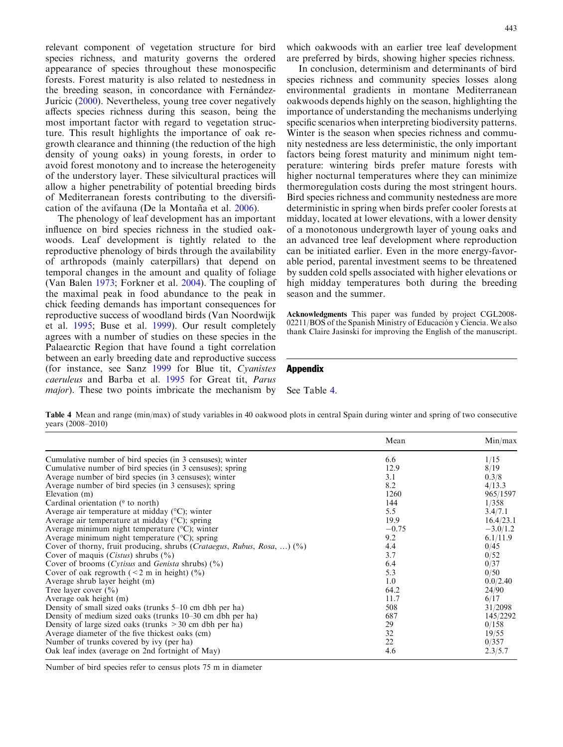<span id="page-8-0"></span>relevant component of vegetation structure for bird species richness, and maturity governs the ordered appearance of species throughout these monospecific forests. Forest maturity is also related to nestedness in the breeding season, in concordance with Fernández-Juricic ([2000](#page-9-0)). Nevertheless, young tree cover negatively affects species richness during this season, being the most important factor with regard to vegetation structure. This result highlights the importance of oak regrowth clearance and thinning (the reduction of the high density of young oaks) in young forests, in order to avoid forest monotony and to increase the heterogeneity of the understory layer. These silvicultural practices will allow a higher penetrability of potential breeding birds of Mediterranean forests contributing to the diversifi-cation of the avifauna (De la Montaña et al. [2006](#page-9-0)).

The phenology of leaf development has an important influence on bird species richness in the studied oakwoods. Leaf development is tightly related to the reproductive phenology of birds through the availability of arthropods (mainly caterpillars) that depend on temporal changes in the amount and quality of foliage (Van Balen [1973](#page-10-0); Forkner et al. [2004](#page-9-0)). The coupling of the maximal peak in food abundance to the peak in chick feeding demands has important consequences for reproductive success of woodland birds (Van Noordwijk et al. [1995;](#page-10-0) Buse et al. [1999](#page-9-0)). Our result completely agrees with a number of studies on these species in the Palaearctic Region that have found a tight correlation between an early breeding date and reproductive success (for instance, see Sanz [1999](#page-10-0) for Blue tit, Cyanistes caeruleus and Barba et al. [1995](#page-9-0) for Great tit, Parus *major*). These two points imbricate the mechanism by

In conclusion, determinism and determinants of bird species richness and community species losses along environmental gradients in montane Mediterranean oakwoods depends highly on the season, highlighting the importance of understanding the mechanisms underlying specific scenarios when interpreting biodiversity patterns. Winter is the season when species richness and community nestedness are less deterministic, the only important factors being forest maturity and minimum night temperature: wintering birds prefer mature forests with higher nocturnal temperatures where they can minimize thermoregulation costs during the most stringent hours. Bird species richness and community nestedness are more deterministic in spring when birds prefer cooler forests at midday, located at lower elevations, with a lower density of a monotonous undergrowth layer of young oaks and an advanced tree leaf development where reproduction can be initiated earlier. Even in the more energy-favorable period, parental investment seems to be threatened by sudden cold spells associated with higher elevations or high midday temperatures both during the breeding season and the summer.

Acknowledgments This paper was funded by project CGL2008- 02211/BOS of the Spanish Ministry of Educación y Ciencia. We also thank Claire Jasinski for improving the English of the manuscript.

#### Appendix

See Table 4.

Table 4 Mean and range (min/max) of study variables in 40 oakwood plots in central Spain during winter and spring of two consecutive years (2008–2010)

|                                                                            | Mean    | Min/max    |
|----------------------------------------------------------------------------|---------|------------|
| Cumulative number of bird species (in 3 censuses); winter                  | 6.6     | 1/15       |
| Cumulative number of bird species (in 3 censuses); spring                  | 12.9    | 8/19       |
| Average number of bird species (in 3 censuses); winter                     | 3.1     | 0.3/8      |
| Average number of bird species (in 3 censuses); spring                     | 8.2     | 4/13.3     |
| Elevation (m)                                                              | 1260    | 965/1597   |
| Cardinal orientation $(°$ to north)                                        | 144     | 1/358      |
| Average air temperature at midday $({}^{\circ}C)$ ; winter                 | 5.5     | 3.4/7.1    |
| Average air temperature at midday $(^{\circ}C)$ ; spring                   | 19.9    | 16.4/23.1  |
| Average minimum night temperature $({}^{\circ}C)$ ; winter                 | $-0.75$ | $-3.0/1.2$ |
| Average minimum night temperature $({}^{\circ}C)$ ; spring                 | 9.2     | 6.1/11.9   |
| Cover of thorny, fruit producing, shrubs (Crataegus, Rubus, Rosa, ) $(\%)$ | 4.4     | 0/45       |
| Cover of maquis ( <i>Cistus</i> ) shrubs $(\%$ )                           | 3.7     | 0/52       |
| Cover of brooms ( <i>Cytisus</i> and <i>Genista</i> shrubs) $(\%)$         | 6.4     | 0/37       |
| Cover of oak regrowth $(< 2$ m in height) $(\%)$                           | 5.3     | 0/50       |
| Average shrub layer height (m)                                             | 1.0     | 0.0/2.40   |
| Tree layer cover $(\% )$                                                   | 64.2    | 24/90      |
| Average oak height (m)                                                     | 11.7    | 6/17       |
| Density of small sized oaks (trunks 5–10 cm dbh per ha)                    | 508     | 31/2098    |
| Density of medium sized oaks (trunks $10-30$ cm dbh per ha)                | 687     | 145/2292   |
| Density of large sized oaks (trunks $>$ 30 cm dbh per ha)                  | 29      | 0/158      |
| Average diameter of the five thickest oaks (cm)                            | 32      | 19/55      |
| Number of trunks covered by ivy (per ha)                                   | 22      | 0/357      |
| Oak leaf index (average on 2nd fortnight of May)                           | 4.6     | 2.3/5.7    |

Number of bird species refer to census plots 75 m in diameter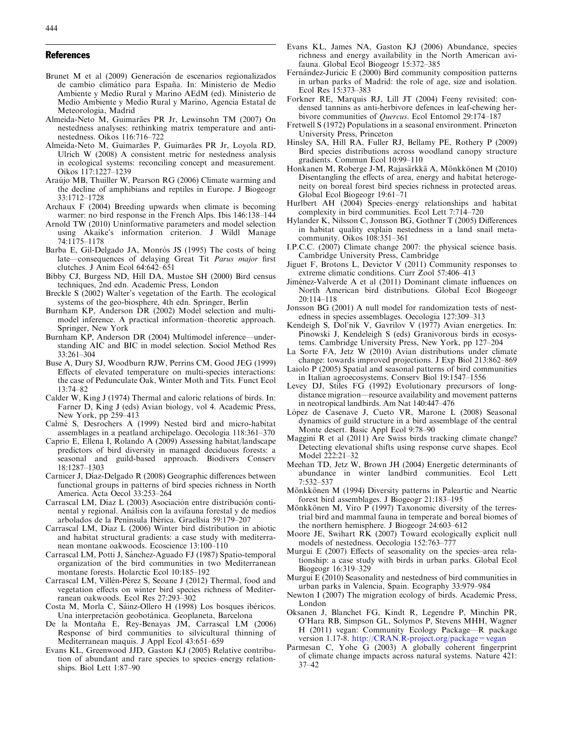### <span id="page-9-0"></span>**References**

- Brunet M et al (2009) Generación de escenarios regionalizados de cambio climático para España. In: Ministerio de Medio Ambiente y Medio Rural y Marino AEdM (ed). Ministerio de Medio Ambiente y Medio Rural y Marino, Agencia Estatal de Meteorología, Madrid
- Almeida-Neto M, Guimarães PR Jr, Lewinsohn TM (2007) On nestedness analyses: rethinking matrix temperature and antinestedness. Oikos 116:716–722
- Almeida-Neto M, Guimarães P, Guimarães PR Jr, Loyola RD, Ulrich W (2008) A consistent metric for nestedness analysis in ecological systems: reconciling concept and measurement. Oikos 117:1227–1239
- Araújo MB, Thuiller W, Pearson RG (2006) Climate warming and the decline of amphibians and reptiles in Europe. J Biogeogr 33:1712–1728
- Archaux F (2004) Breeding upwards when climate is becoming warmer: no bird response in the French Alps. Ibis 146:138–144
- Arnold TW (2010) Uninformative parameters and model selection using Akaike's information criterion. J Wildl Manage 74:1175–1178
- Barba E, Gil-Delgado JA, Monrós JS (1995) The costs of being late—consequences of delaying Great Tit Parus major first clutches. J Anim Ecol 64:642–651
- Bibby CJ, Burgess ND, Hill DA, Mustoe SH (2000) Bird census techniques, 2nd edn. Academic Press, London
- Breckle S (2002) Walter's vegetation of the Earth. The ecological systems of the geo-biosphere, 4th edn. Springer, Berlin
- Burnham KP, Anderson DR (2002) Model selection and multimodel inference. A practical information–theoretic approach. Springer, New York
- Burnham KP, Anderson DR (2004) Multimodel inference—understanding AIC and BIC in model selection. Sociol Method Res 33:261–304
- Buse A, Dury SJ, Woodburn RJW, Perrins CM, Good JEG (1999) Effects of elevated temperature on multi-species interactions: the case of Pedunculate Oak, Winter Moth and Tits. Funct Ecol  $13:74-82$
- Calder W, King J (1974) Thermal and caloric relations of birds. In: Farner D, King J (eds) Avian biology, vol 4. Academic Press, New York, pp 259–413
- Calme´ S, Desrochers A (1999) Nested bird and micro-habitat assemblages in a peatland archipelago. Oecologia 118:361–370
- Caprio E, Ellena I, Rolando A (2009) Assessing habitat/landscape predictors of bird diversity in managed deciduous forests: a seasonal and guild-based approach. Biodivers Conserv 18:1287–1303
- Carnicer J, Díaz-Delgado R (2008) Geographic differences between functional groups in patterns of bird species richness in North America. Acta Oecol 33:253–264
- Carrascal LM, Díaz L (2003) Asociación entre distribución continental y regional. Análisis con la avifauna forestal y de medios arbolados de la Península Ibérica. Graellsia 59:179-207
- Carrascal LM, Díaz L (2006) Winter bird distribution in abiotic and habitat structural gradients: a case study with mediterranean montane oakwoods. Ecoscience 13:100–110
- Carrascal LM, Potti J, Sánchez-Aguado FJ (1987) Spatio-temporal organization of the bird communities in two Mediterranean montane forests. Holarctic Ecol 10:185–192
- Carrascal LM, Villén-Pérez S, Seoane J (2012) Thermal, food and vegetation effects on winter bird species richness of Mediterranean oakwoods. Ecol Res 27:293–302
- Costa M, Morla C, Sáinz-Ollero H (1998) Los bosques ibéricos. Una interpretación geobotánica. Geoplaneta, Barcelona
- De la Montaña E, Rey-Benayas JM, Carrascal LM (2006) Response of bird communities to silvicultural thinning of Mediterranean maquis. J Appl Ecol 43:651–659
- Evans KL, Greenwood JJD, Gaston KJ (2005) Relative contribution of abundant and rare species to species–energy relationships. Biol Lett 1:87–90
- Evans KL, James NA, Gaston KJ (2006) Abundance, species richness and energy availability in the North American avifauna. Global Ecol Biogeogr 15:372–385
- Fernández-Juricic E (2000) Bird community composition patterns in urban parks of Madrid: the role of age, size and isolation. Ecol Res 15:373–383
- Forkner RE, Marquis RJ, Lill JT (2004) Feeny revisited: condensed tannins as anti-herbivore defences in leaf-chewing herbivore communities of Quercus. Ecol Entomol 29:174–187
- Fretwell S (1972) Populations in a seasonal environment. Princeton University Press, Princeton
- Hinsley SA, Hill RA, Fuller RJ, Bellamy PE, Rothery P (2009) Bird species distributions across woodland canopy structure gradients. Commun Ecol 10:99–110
- Honkanen M, Roberge J-M, Rajasärkkä A, Mönkkönen M (2010) Disentangling the effects of area, energy and habitat heterogeneity on boreal forest bird species richness in protected areas. Global Ecol Biogeogr 19:61–71
- Hurlbert AH (2004) Species–energy relationships and habitat complexity in bird communities. Ecol Lett 7:714–720
- Hylander K, Nilsson C, Jonsson BG, Gothner T (2005) Differences in habitat quality explain nestedness in a land snail metacommunity. Oikos 108:351–361
- I.P.C.C. (2007) Climate change 2007: the physical science basis. Cambridge University Press, Cambridge
- Jiguet F, Brotons L, Devictor V (2011) Community responses to extreme climatic conditions. Curr Zool 57:406–413
- Jiménez-Valverde A et al (2011) Dominant climate influences on North American bird distributions. Global Ecol Biogeogr 20:114–118
- Jonsson BG (2001) A null model for randomization tests of nestedness in species assemblages. Oecologia 127:309–313
- Kendeigh S, Dol'nik V, Gavrilov V (1977) Avian energetics. In: Pinowski J, Kendeleigh S (eds) Granivorous birds in ecosystems. Cambridge University Press, New York, pp 127–204
- La Sorte FA, Jetz W (2010) Avian distributions under climate change: towards improved projections. J Exp Biol 213:862–869
- Laiolo P (2005) Spatial and seasonal patterns of bird communities in Italian agroecosystems. Conserv Biol 19:1547–1556
- Levey DJ, Stiles FG (1992) Evolutionary precursors of longdistance migration—resource availability and movement patterns in neotropical landbirds. Am Nat 140:447–476
- López de Casenave J, Cueto VR, Marone L (2008) Seasonal dynamics of guild structure in a bird assemblage of the central Monte desert. Basic Appl Ecol 9:78–90
- Maggini R et al (2011) Are Swiss birds tracking climate change? Detecting elevational shifts using response curve shapes. Ecol Model 222:21–32
- Meehan TD, Jetz W, Brown JH (2004) Energetic determinants of abundance in winter landbird communities. Ecol Lett 7:532–537
- Mönkkönen M (1994) Diversity patterns in Paleartic and Neartic forest bird assemblages. J Biogeogr 21:183–195
- Mönkkönen M, Viro P (1997) Taxonomic diversity of the terrestrial bird and mammal fauna in temperate and boreal biomes of the northern hemisphere. J Biogeogr 24:603–612
- Moore JE, Swihart RK (2007) Toward ecologically explicit null models of nestedness. Oecologia 152:763–777
- Murgui E (2007) Effects of seasonality on the species–area relationship: a case study with birds in urban parks. Global Ecol Biogeogr 16:319–329
- Murgui E (2010) Seasonality and nestedness of bird communities in urban parks in Valencia, Spain. Ecography 33:979–984
- Newton I (2007) The migration ecology of birds. Academic Press, London
- Oksanen J, Blanchet FG, Kindt R, Legendre P, Minchin PR, O'Hara RB, Simpson GL, Solymos P, Stevens MHH, Wagner H (2011) vegan: Community Ecology Package—R package version 1.17-8. <http://CRAN.R-project.org/package=vegan>
- Parmesan C, Yohe G (2003) A globally coherent fingerprint of climate change impacts across natural systems. Nature 421: 37–42